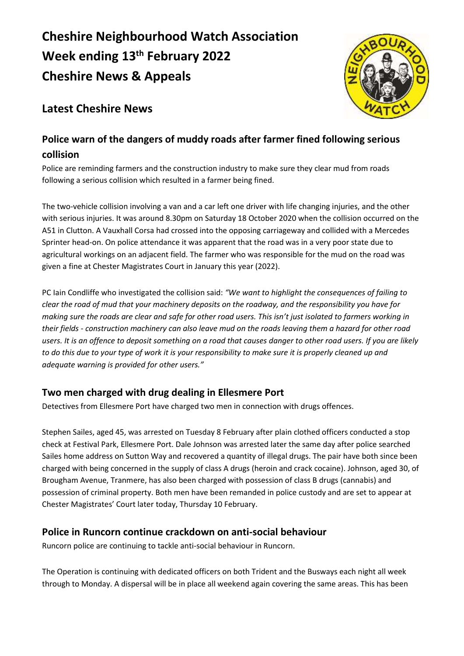# **Cheshire Neighbourhood Watch Association Week ending 13th February 2022 Cheshire News & Appeals**



# **Latest Cheshire News**

## **Police warn of the dangers of muddy roads after farmer fined following serious collision**

Police are reminding farmers and the construction industry to make sure they clear mud from roads following a serious collision which resulted in a farmer being fined.

The two-vehicle collision involving a van and a car left one driver with life changing injuries, and the other with serious injuries. It was around 8.30pm on Saturday 18 October 2020 when the collision occurred on the A51 in Clutton. A Vauxhall Corsa had crossed into the opposing carriageway and collided with a Mercedes Sprinter head-on. On police attendance it was apparent that the road was in a very poor state due to agricultural workings on an adjacent field. The farmer who was responsible for the mud on the road was given a fine at Chester Magistrates Court in January this year (2022).

PC Iain Condliffe who investigated the collision said: *"We want to highlight the consequences of failing to clear the road of mud that your machinery deposits on the roadway, and the responsibility you have for making sure the roads are clear and safe for other road users. This isn't just isolated to farmers working in their fields - construction machinery can also leave mud on the roads leaving them a hazard for other road users. It is an offence to deposit something on a road that causes danger to other road users. If you are likely to do this due to your type of work it is your responsibility to make sure it is properly cleaned up and adequate warning is provided for other users."*

## **Two men charged with drug dealing in Ellesmere Port**

Detectives from Ellesmere Port have charged two men in connection with drugs offences.

Stephen Sailes, aged 45, was arrested on Tuesday 8 February after plain clothed officers conducted a stop check at Festival Park, Ellesmere Port. Dale Johnson was arrested later the same day after police searched Sailes home address on Sutton Way and recovered a quantity of illegal drugs. The pair have both since been charged with being concerned in the supply of class A drugs (heroin and crack cocaine). Johnson, aged 30, of Brougham Avenue, Tranmere, has also been charged with possession of class B drugs (cannabis) and possession of criminal property. Both men have been remanded in police custody and are set to appear at Chester Magistrates' Court later today, Thursday 10 February.

## **Police in Runcorn continue crackdown on anti-social behaviour**

Runcorn police are continuing to tackle anti-social behaviour in Runcorn.

The Operation is continuing with dedicated officers on both Trident and the Busways each night all week through to Monday. A dispersal will be in place all weekend again covering the same areas. This has been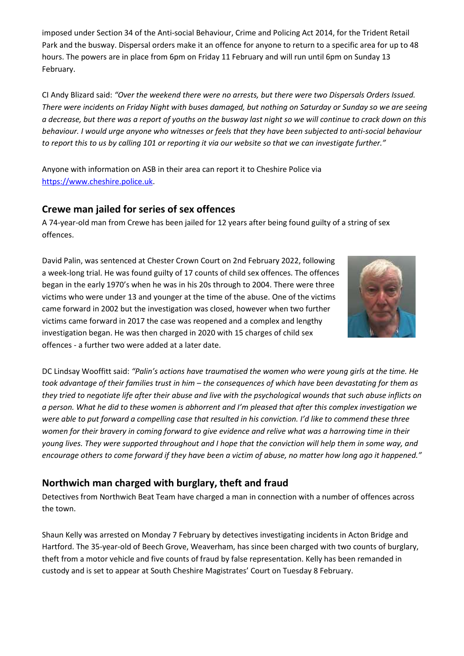imposed under Section 34 of the Anti-social Behaviour, Crime and Policing Act 2014, for the Trident Retail Park and the busway. Dispersal orders make it an offence for anyone to return to a specific area for up to 48 hours. The powers are in place from 6pm on Friday 11 February and will run until 6pm on Sunday 13 February.

CI Andy Blizard said: *"Over the weekend there were no arrests, but there were two Dispersals Orders Issued. There were incidents on Friday Night with buses damaged, but nothing on Saturday or Sunday so we are seeing a decrease, but there was a report of youths on the busway last night so we will continue to crack down on this behaviour. I would urge anyone who witnesses or feels that they have been subjected to anti-social behaviour to report this to us by calling 101 or reporting it via our website so that we can investigate further."*

Anyone with information on ASB in their area can report it to Cheshire Police via [https://www.cheshire.police.uk.](https://www.cheshire.police.uk/)

#### **Crewe man jailed for series of sex offences**

A 74-year-old man from Crewe has been jailed for 12 years after being found guilty of a string of sex offences.

David Palin, was sentenced at Chester Crown Court on 2nd February 2022, following a week-long trial. He was found guilty of 17 counts of child sex offences. The offences began in the early 1970's when he was in his 20s through to 2004. There were three victims who were under 13 and younger at the time of the abuse. One of the victims came forward in 2002 but the investigation was closed, however when two further victims came forward in 2017 the case was reopened and a complex and lengthy investigation began. He was then charged in 2020 with 15 charges of child sex offences - a further two were added at a later date.



DC Lindsay Wooffitt said: *"Palin's actions have traumatised the women who were young girls at the time. He took advantage of their families trust in him – the consequences of which have been devastating for them as they tried to negotiate life after their abuse and live with the psychological wounds that such abuse inflicts on a person. What he did to these women is abhorrent and I'm pleased that after this complex investigation we were able to put forward a compelling case that resulted in his conviction. I'd like to commend these three women for their bravery in coming forward to give evidence and relive what was a harrowing time in their young lives. They were supported throughout and I hope that the conviction will help them in some way, and encourage others to come forward if they have been a victim of abuse, no matter how long ago it happened."*

## **Northwich man charged with burglary, theft and fraud**

Detectives from Northwich Beat Team have charged a man in connection with a number of offences across the town.

Shaun Kelly was arrested on Monday 7 February by detectives investigating incidents in Acton Bridge and Hartford. The 35-year-old of Beech Grove, Weaverham, has since been charged with two counts of burglary, theft from a motor vehicle and five counts of fraud by false representation. Kelly has been remanded in custody and is set to appear at South Cheshire Magistrates' Court on Tuesday 8 February.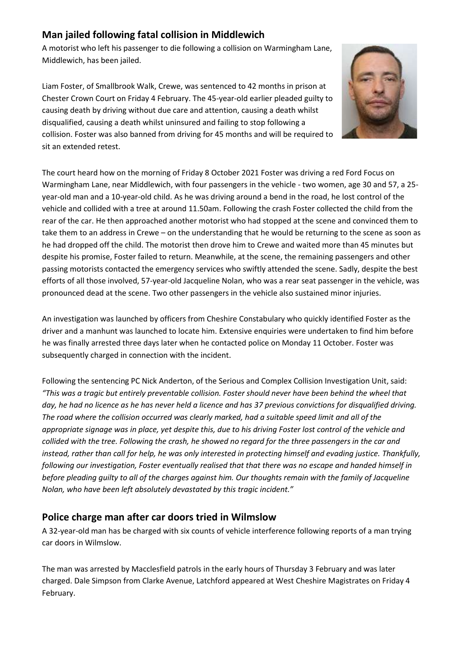## **Man jailed following fatal collision in Middlewich**

A motorist who left his passenger to die following a collision on Warmingham Lane, Middlewich, has been jailed.

Liam Foster, of Smallbrook Walk, Crewe, was sentenced to 42 months in prison at Chester Crown Court on Friday 4 February. The 45-year-old earlier pleaded guilty to causing death by driving without due care and attention, causing a death whilst disqualified, causing a death whilst uninsured and failing to stop following a collision. Foster was also banned from driving for 45 months and will be required to sit an extended retest.



The court heard how on the morning of Friday 8 October 2021 Foster was driving a red Ford Focus on Warmingham Lane, near Middlewich, with four passengers in the vehicle - two women, age 30 and 57, a 25 year-old man and a 10-year-old child. As he was driving around a bend in the road, he lost control of the vehicle and collided with a tree at around 11.50am. Following the crash Foster collected the child from the rear of the car. He then approached another motorist who had stopped at the scene and convinced them to take them to an address in Crewe – on the understanding that he would be returning to the scene as soon as he had dropped off the child. The motorist then drove him to Crewe and waited more than 45 minutes but despite his promise, Foster failed to return. Meanwhile, at the scene, the remaining passengers and other passing motorists contacted the emergency services who swiftly attended the scene. Sadly, despite the best efforts of all those involved, 57-year-old Jacqueline Nolan, who was a rear seat passenger in the vehicle, was pronounced dead at the scene. Two other passengers in the vehicle also sustained minor injuries.

An investigation was launched by officers from Cheshire Constabulary who quickly identified Foster as the driver and a manhunt was launched to locate him. Extensive enquiries were undertaken to find him before he was finally arrested three days later when he contacted police on Monday 11 October. Foster was subsequently charged in connection with the incident.

Following the sentencing PC Nick Anderton, of the Serious and Complex Collision Investigation Unit, said: *"This was a tragic but entirely preventable collision. Foster should never have been behind the wheel that day, he had no licence as he has never held a licence and has 37 previous convictions for disqualified driving. The road where the collision occurred was clearly marked, had a suitable speed limit and all of the appropriate signage was in place, yet despite this, due to his driving Foster lost control of the vehicle and collided with the tree. Following the crash, he showed no regard for the three passengers in the car and instead, rather than call for help, he was only interested in protecting himself and evading justice. Thankfully, following our investigation, Foster eventually realised that that there was no escape and handed himself in before pleading guilty to all of the charges against him. Our thoughts remain with the family of Jacqueline Nolan, who have been left absolutely devastated by this tragic incident."*

## **Police charge man after car doors tried in Wilmslow**

A 32-year-old man has be charged with six counts of vehicle interference following reports of a man trying car doors in Wilmslow.

The man was arrested by Macclesfield patrols in the early hours of Thursday 3 February and was later charged. Dale Simpson from Clarke Avenue, Latchford appeared at West Cheshire Magistrates on Friday 4 February.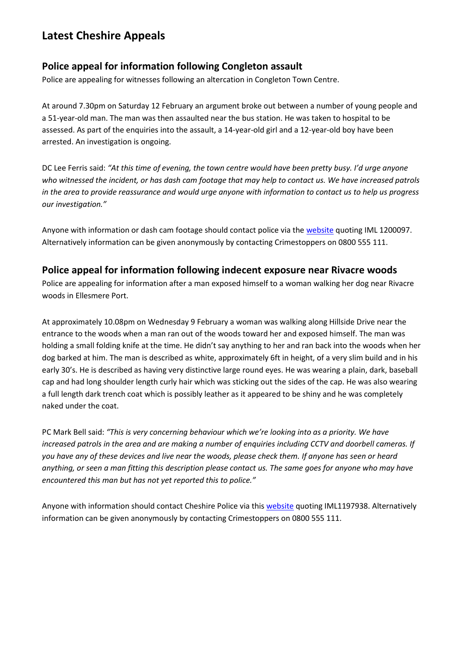# **Latest Cheshire Appeals**

#### **Police appeal for information following Congleton assault**

Police are appealing for witnesses following an altercation in Congleton Town Centre.

At around 7.30pm on Saturday 12 February an argument broke out between a number of young people and a 51-year-old man. The man was then assaulted near the bus station. He was taken to hospital to be assessed. As part of the enquiries into the assault, a 14-year-old girl and a 12-year-old boy have been arrested. An investigation is ongoing.

DC Lee Ferris said: *"At this time of evening, the town centre would have been pretty busy. I'd urge anyone who witnessed the incident, or has dash cam footage that may help to contact us. We have increased patrols in the area to provide reassurance and would urge anyone with information to contact us to help us progress our investigation."*

Anyone with information or dash cam footage should contact police via the [website](https://www.cheshire.police.uk/) quoting IML 1200097. Alternatively information can be given anonymously by contacting Crimestoppers on 0800 555 111.

#### **Police appeal for information following indecent exposure near Rivacre woods**

Police are appealing for information after a man exposed himself to a woman walking her dog near Rivacre woods in Ellesmere Port.

At approximately 10.08pm on Wednesday 9 February a woman was walking along Hillside Drive near the entrance to the woods when a man ran out of the woods toward her and exposed himself. The man was holding a small folding knife at the time. He didn't say anything to her and ran back into the woods when her dog barked at him. The man is described as white, approximately 6ft in height, of a very slim build and in his early 30's. He is described as having very distinctive large round eyes. He was wearing a plain, dark, baseball cap and had long shoulder length curly hair which was sticking out the sides of the cap. He was also wearing a full length dark trench coat which is possibly leather as it appeared to be shiny and he was completely naked under the coat.

PC Mark Bell said: *"This is very concerning behaviour which we're looking into as a priority. We have increased patrols in the area and are making a number of enquiries including CCTV and doorbell cameras. If you have any of these devices and live near the woods, please check them. If anyone has seen or heard anything, or seen a man fitting this description please contact us. The same goes for anyone who may have encountered this man but has not yet reported this to police."*

Anyone with information should contact Cheshire Police via this [website](http://www.cheshire.police.uk/) quoting IML1197938. Alternatively information can be given anonymously by contacting Crimestoppers on 0800 555 111.